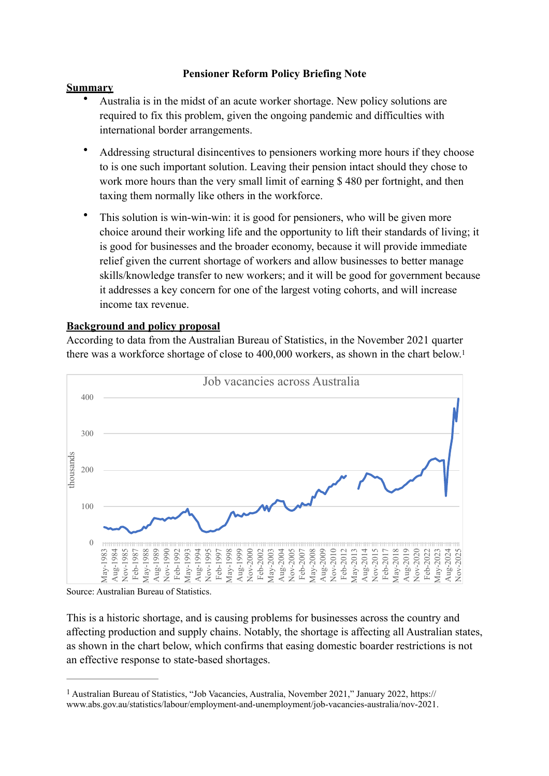## <span id="page-0-1"></span>**Pensioner Reform Policy Briefing Note**

## **Summary**

- Australia is in the midst of an acute worker shortage. New policy solutions are required to fix this problem, given the ongoing pandemic and difficulties with international border arrangements.
- Addressing structural disincentives to pensioners working more hours if they choose to is one such important solution. Leaving their pension intact should they chose to work more hours than the very small limit of earning \$480 per fortnight, and then taxing them normally like others in the workforce.
- This solution is win-win-win: it is good for pensioners, who will be given more choice around their working life and the opportunity to lift their standards of living; it is good for businesses and the broader economy, because it will provide immediate relief given the current shortage of workers and allow businesses to better manage skills/knowledge transfer to new workers; and it will be good for government because it addresses a key concern for one of the largest voting cohorts, and will increase income tax revenue.

## **Background and policy proposal**

According to data from the Australian Bureau of Statistics, in the November 2021 quarter there was a workforce shortage of close to 400,000 workers, as shown in the chart below[.1](#page-0-0)



Source: Australian Bureau of Statistics.

This is a historic shortage, and is causing problems for businesses across the country and affecting production and supply chains. Notably, the shortage is affecting all Australian states, as shown in the chart below, which confirms that easing domestic boarder restrictions is not an effective response to state-based shortages.

<span id="page-0-0"></span><sup>&</sup>lt;sup>[1](#page-0-1)</sup> Australian Bureau of Statistics, "Job Vacancies, Australia, November 2021," January 2022, https:// www.abs.gov.au/statistics/labour/employment-and-unemployment/job-vacancies-australia/nov-2021.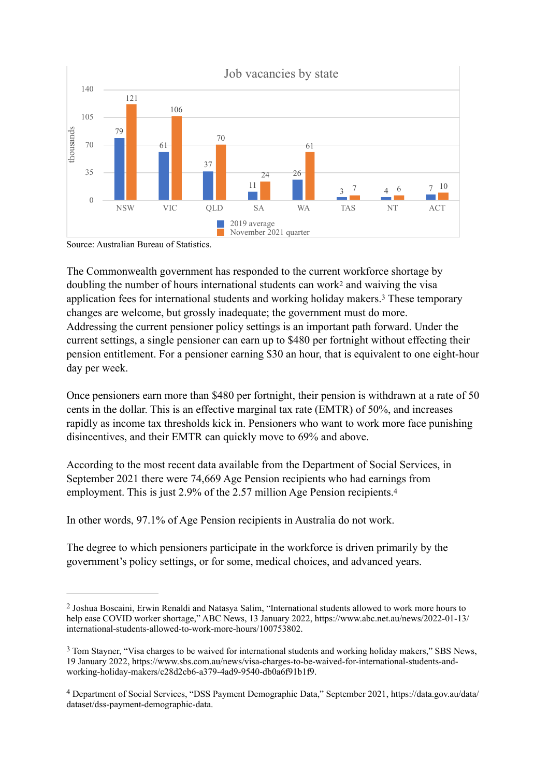

Source: Australian Bureau of Statistics.

<span id="page-1-4"></span><span id="page-1-3"></span>The Commonwealth government has responded to the current workforce shortage by doublingthe number of hours international students can work<sup>[2](#page-1-0)</sup> and waiving the visa applicationfees for international students and working holiday makers.<sup>[3](#page-1-1)</sup> These temporary changes are welcome, but grossly inadequate; the government must do more. Addressing the current pensioner policy settings is an important path forward. Under the current settings, a single pensioner can earn up to \$480 per fortnight without effecting their pension entitlement. For a pensioner earning \$30 an hour, that is equivalent to one eight-hour day per week.

Once pensioners earn more than \$480 per fortnight, their pension is withdrawn at a rate of 50 cents in the dollar. This is an effective marginal tax rate (EMTR) of 50%, and increases rapidly as income tax thresholds kick in. Pensioners who want to work more face punishing disincentives, and their EMTR can quickly move to 69% and above.

<span id="page-1-5"></span>According to the most recent data available from the Department of Social Services, in September 2021 there were 74,669 Age Pension recipients who had earnings from employment. This is just 2.9% of the 2.57 million Age Pension recipients.<sup>[4](#page-1-2)</sup>

In other words, 97.1% of Age Pension recipients in Australia do not work.

The degree to which pensioners participate in the workforce is driven primarily by the government's policy settings, or for some, medical choices, and advanced years.

<span id="page-1-0"></span>Joshua Boscaini, Erwin Renaldi and Natasya Salim, "International students allowed to work more hours to [2](#page-1-3) help ease COVID worker shortage," ABC News, 13 January 2022, https://www.abc.net.au/news/2022-01-13/ international-students-allowed-to-work-more-hours/100753802.

<span id="page-1-1"></span><sup>&</sup>lt;sup>[3](#page-1-4)</sup> Tom Stayner, "Visa charges to be waived for international students and working holiday makers," SBS News, 19 January 2022, https://www.sbs.com.au/news/visa-charges-to-be-waived-for-international-students-andworking-holiday-makers/c28d2cb6-a379-4ad9-9540-db0a6f91b1f9.

<span id="page-1-2"></span>Department of Social Services, "DSS Payment Demographic Data," September 2021, https://data.gov.au/data/ [4](#page-1-5) dataset/dss-payment-demographic-data.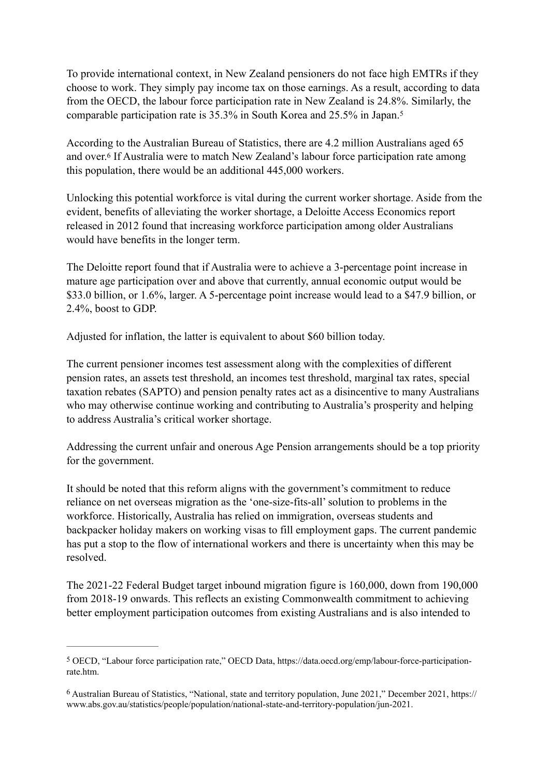To provide international context, in New Zealand pensioners do not face high EMTRs if they choose to work. They simply pay income tax on those earnings. As a result, according to data from the OECD, the labour force participation rate in New Zealand is 24.8%. Similarly, the comparable participation rate is 35.3% in South Korea and 25.5% in Japan[.5](#page-2-0)

<span id="page-2-3"></span><span id="page-2-2"></span>According to the Australian Bureau of Statistics, there are 4.2 million Australians aged 65 andover.<sup>[6](#page-2-1)</sup> If Australia were to match New Zealand's labour force participation rate among this population, there would be an additional 445,000 workers.

Unlocking this potential workforce is vital during the current worker shortage. Aside from the evident, benefits of alleviating the worker shortage, a Deloitte Access Economics report released in 2012 found that increasing workforce participation among older Australians would have benefits in the longer term.

The Deloitte report found that if Australia were to achieve a 3-percentage point increase in mature age participation over and above that currently, annual economic output would be \$33.0 billion, or 1.6%, larger. A 5-percentage point increase would lead to a \$47.9 billion, or 2.4%, boost to GDP.

Adjusted for inflation, the latter is equivalent to about \$60 billion today.

The current pensioner incomes test assessment along with the complexities of different pension rates, an assets test threshold, an incomes test threshold, marginal tax rates, special taxation rebates (SAPTO) and pension penalty rates act as a disincentive to many Australians who may otherwise continue working and contributing to Australia's prosperity and helping to address Australia's critical worker shortage.

Addressing the current unfair and onerous Age Pension arrangements should be a top priority for the government.

It should be noted that this reform aligns with the government's commitment to reduce reliance on net overseas migration as the 'one-size-fits-all' solution to problems in the workforce. Historically, Australia has relied on immigration, overseas students and backpacker holiday makers on working visas to fill employment gaps. The current pandemic has put a stop to the flow of international workers and there is uncertainty when this may be resolved.

The 2021-22 Federal Budget target inbound migration figure is 160,000, down from 190,000 from 2018-19 onwards. This reflects an existing Commonwealth commitment to achieving better employment participation outcomes from existing Australians and is also intended to

<span id="page-2-0"></span>OECD, "Labour force participation rate," OECD Data, https://data.oecd.org/emp/labour-force-participation- [5](#page-2-2) rate.htm.

<span id="page-2-1"></span>Australian Bureau of Statistics, "National, state and territory population, June 2021," December 2021, https:// [6](#page-2-3) www.abs.gov.au/statistics/people/population/national-state-and-territory-population/jun-2021.